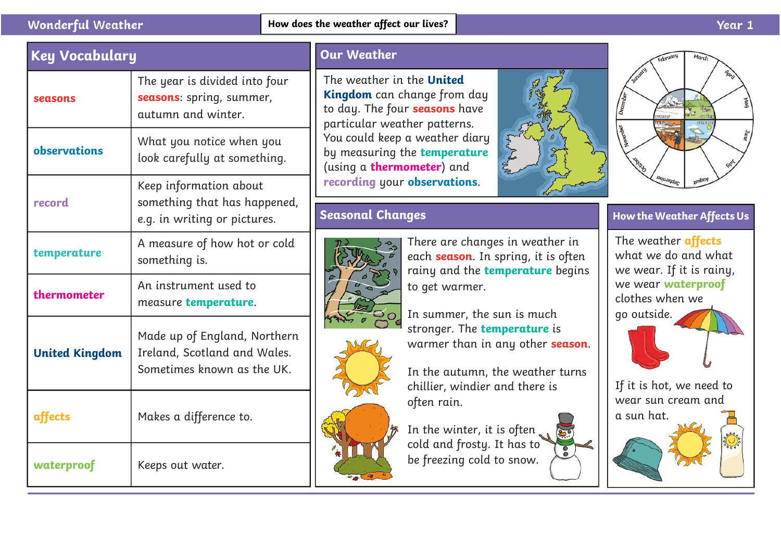#### **Wonderful Weather**

| <b>Key Vocabulary</b> |                                                                                            | <b>Our Weather</b>                                                                                                        |                                              |
|-----------------------|--------------------------------------------------------------------------------------------|---------------------------------------------------------------------------------------------------------------------------|----------------------------------------------|
| seasons               | The year is divided into four<br>seasons: spring, summer,<br>autumn and winter.            | The weather in the United<br>Kingdom can change from day<br>to day. The four seasons have<br>particular weather patterns. |                                              |
| observations          | What you notice when you<br>look carefully at something.                                   | You could keep a weather diary<br>by measuring the temperature<br>(using a <b>thermometer</b> ) and                       |                                              |
| record                | Keep information about<br>something that has happened,<br>e.g. in writing or pictures.     | recording your observations.<br><b>Seasonal Changes</b>                                                                   | How the We                                   |
| temperature           | A measure of how hot or cold<br>something is.                                              | There are changes in weather in<br>each season. In spring, it is often<br>rainy and the temperature begins                | The weath<br>what we a<br>we wear.           |
| thermometer           | An instrument used to<br>measure temperature.                                              | to get warmer.<br>In summer, the sun is much                                                                              | we wear <b>v</b><br>clothes wh<br>go outside |
| <b>United Kingdom</b> | Made up of England, Northern<br>Ireland, Scotland and Wales.<br>Sometimes known as the UK. | stronger. The temperature is<br>warmer than in any other <b>season</b> .<br>In the autumn, the weather turns              |                                              |
| affects               | Makes a difference to.                                                                     | chillier, windier and there is<br>often rain.<br>In the winter, it is often                                               | If it is hot<br>wear sun<br>a sun hat.       |
| waterproof            | Keeps out water.                                                                           | cold and frosty. It has to<br>be freezing cold to snow.                                                                   |                                              |

## **Seasonal Changes**







### **How the Weather AffectsUs**

The weather **affects**  what we do and what we wear. If it is rainy, we wear **waterproof**  clothes when we go outside.

If it is hot, we need to wear sun cream and